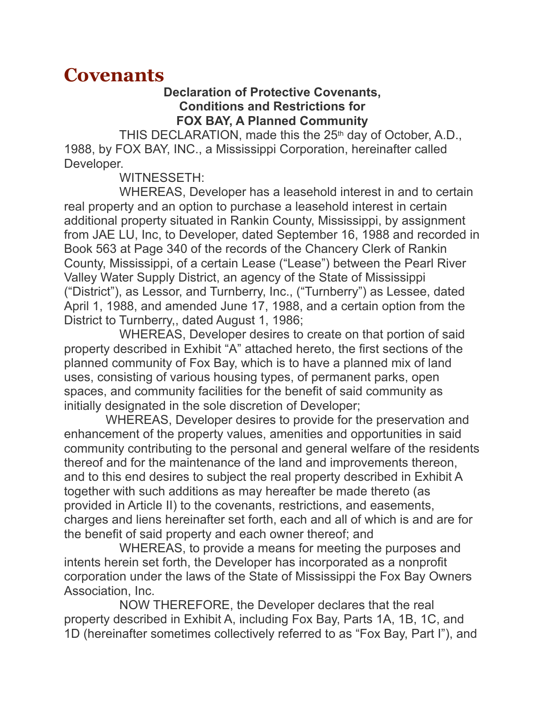# **Covenants**

#### **Declaration of Protective Covenants, Conditions and Restrictions for FOX BAY, A Planned Community**

THIS DECLARATION, made this the 25<sup>th</sup> day of October, A.D., 1988, by FOX BAY, INC., a Mississippi Corporation, hereinafter called Developer.

#### WITNESSETH:

 WHEREAS, Developer has a leasehold interest in and to certain real property and an option to purchase a leasehold interest in certain additional property situated in Rankin County, Mississippi, by assignment from JAE LU, Inc, to Developer, dated September 16, 1988 and recorded in Book 563 at Page 340 of the records of the Chancery Clerk of Rankin County, Mississippi, of a certain Lease ("Lease") between the Pearl River Valley Water Supply District, an agency of the State of Mississippi ("District"), as Lessor, and Turnberry, Inc., ("Turnberry") as Lessee, dated April 1, 1988, and amended June 17, 1988, and a certain option from the District to Turnberry,, dated August 1, 1986;

 WHEREAS, Developer desires to create on that portion of said property described in Exhibit "A" attached hereto, the first sections of the planned community of Fox Bay, which is to have a planned mix of land uses, consisting of various housing types, of permanent parks, open spaces, and community facilities for the benefit of said community as initially designated in the sole discretion of Developer;

 WHEREAS, Developer desires to provide for the preservation and enhancement of the property values, amenities and opportunities in said community contributing to the personal and general welfare of the residents thereof and for the maintenance of the land and improvements thereon, and to this end desires to subject the real property described in Exhibit A together with such additions as may hereafter be made thereto (as provided in Article II) to the covenants, restrictions, and easements, charges and liens hereinafter set forth, each and all of which is and are for the benefit of said property and each owner thereof; and

 WHEREAS, to provide a means for meeting the purposes and intents herein set forth, the Developer has incorporated as a nonprofit corporation under the laws of the State of Mississippi the Fox Bay Owners Association, Inc.

 NOW THEREFORE, the Developer declares that the real property described in Exhibit A, including Fox Bay, Parts 1A, 1B, 1C, and 1D (hereinafter sometimes collectively referred to as "Fox Bay, Part I"), and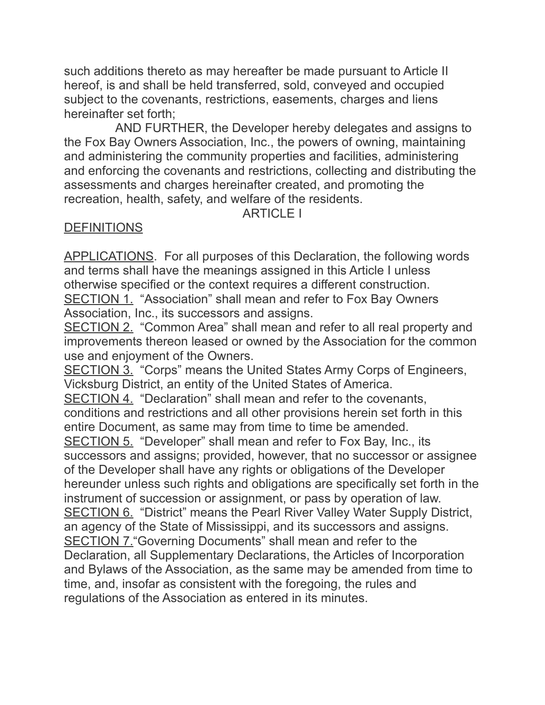such additions thereto as may hereafter be made pursuant to Article II hereof, is and shall be held transferred, sold, conveyed and occupied subject to the covenants, restrictions, easements, charges and liens hereinafter set forth;

 AND FURTHER, the Developer hereby delegates and assigns to the Fox Bay Owners Association, Inc., the powers of owning, maintaining and administering the community properties and facilities, administering and enforcing the covenants and restrictions, collecting and distributing the assessments and charges hereinafter created, and promoting the recreation, health, safety, and welfare of the residents.

#### ARTICLE I

#### **DEFINITIONS**

APPLICATIONS. For all purposes of this Declaration, the following words and terms shall have the meanings assigned in this Article I unless otherwise specified or the context requires a different construction. SECTION 1. "Association" shall mean and refer to Fox Bay Owners Association, Inc., its successors and assigns.

SECTION 2. "Common Area" shall mean and refer to all real property and improvements thereon leased or owned by the Association for the common use and enjoyment of the Owners.

SECTION 3. "Corps" means the United States Army Corps of Engineers, Vicksburg District, an entity of the United States of America.

SECTION 4. "Declaration" shall mean and refer to the covenants, conditions and restrictions and all other provisions herein set forth in this entire Document, as same may from time to time be amended.

SECTION 5. "Developer" shall mean and refer to Fox Bay, Inc., its successors and assigns; provided, however, that no successor or assignee of the Developer shall have any rights or obligations of the Developer hereunder unless such rights and obligations are specifically set forth in the instrument of succession or assignment, or pass by operation of law. SECTION 6. "District" means the Pearl River Valley Water Supply District, an agency of the State of Mississippi, and its successors and assigns. SECTION 7."Governing Documents" shall mean and refer to the Declaration, all Supplementary Declarations, the Articles of Incorporation and Bylaws of the Association, as the same may be amended from time to time, and, insofar as consistent with the foregoing, the rules and regulations of the Association as entered in its minutes.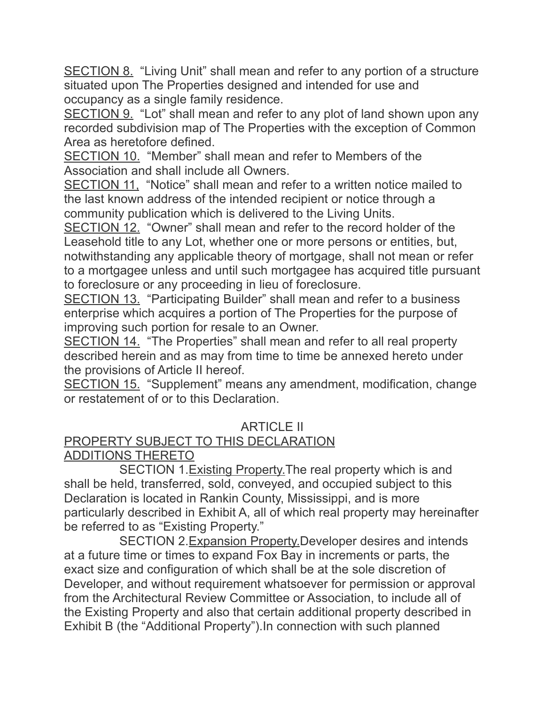SECTION 8. "Living Unit" shall mean and refer to any portion of a structure situated upon The Properties designed and intended for use and occupancy as a single family residence.

SECTION 9. "Lot" shall mean and refer to any plot of land shown upon any recorded subdivision map of The Properties with the exception of Common Area as heretofore defined.

SECTION 10. "Member" shall mean and refer to Members of the Association and shall include all Owners.

SECTION 11, "Notice" shall mean and refer to a written notice mailed to the last known address of the intended recipient or notice through a community publication which is delivered to the Living Units.

SECTION 12. "Owner" shall mean and refer to the record holder of the Leasehold title to any Lot, whether one or more persons or entities, but, notwithstanding any applicable theory of mortgage, shall not mean or refer to a mortgagee unless and until such mortgagee has acquired title pursuant to foreclosure or any proceeding in lieu of foreclosure.

SECTION 13. "Participating Builder" shall mean and refer to a business enterprise which acquires a portion of The Properties for the purpose of improving such portion for resale to an Owner.

SECTION 14. "The Properties" shall mean and refer to all real property described herein and as may from time to time be annexed hereto under the provisions of Article II hereof.

SECTION 15. "Supplement" means any amendment, modification, change or restatement of or to this Declaration.

## ARTICLE II

# PROPERTY SUBJECT TO THIS DECLARATION

## ADDITIONS THERETO

 SECTION 1.Existing Property.The real property which is and shall be held, transferred, sold, conveyed, and occupied subject to this Declaration is located in Rankin County, Mississippi, and is more particularly described in Exhibit A, all of which real property may hereinafter be referred to as "Existing Property."

 SECTION 2.Expansion Property.Developer desires and intends at a future time or times to expand Fox Bay in increments or parts, the exact size and configuration of which shall be at the sole discretion of Developer, and without requirement whatsoever for permission or approval from the Architectural Review Committee or Association, to include all of the Existing Property and also that certain additional property described in Exhibit B (the "Additional Property").In connection with such planned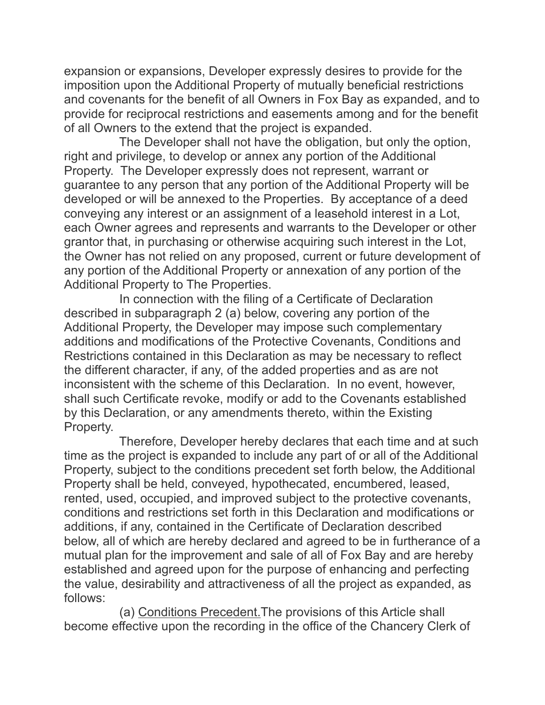expansion or expansions, Developer expressly desires to provide for the imposition upon the Additional Property of mutually beneficial restrictions and covenants for the benefit of all Owners in Fox Bay as expanded, and to provide for reciprocal restrictions and easements among and for the benefit of all Owners to the extend that the project is expanded.

 The Developer shall not have the obligation, but only the option, right and privilege, to develop or annex any portion of the Additional Property. The Developer expressly does not represent, warrant or guarantee to any person that any portion of the Additional Property will be developed or will be annexed to the Properties. By acceptance of a deed conveying any interest or an assignment of a leasehold interest in a Lot, each Owner agrees and represents and warrants to the Developer or other grantor that, in purchasing or otherwise acquiring such interest in the Lot, the Owner has not relied on any proposed, current or future development of any portion of the Additional Property or annexation of any portion of the Additional Property to The Properties.

 In connection with the filing of a Certificate of Declaration described in subparagraph 2 (a) below, covering any portion of the Additional Property, the Developer may impose such complementary additions and modifications of the Protective Covenants, Conditions and Restrictions contained in this Declaration as may be necessary to reflect the different character, if any, of the added properties and as are not inconsistent with the scheme of this Declaration. In no event, however, shall such Certificate revoke, modify or add to the Covenants established by this Declaration, or any amendments thereto, within the Existing Property.

 Therefore, Developer hereby declares that each time and at such time as the project is expanded to include any part of or all of the Additional Property, subject to the conditions precedent set forth below, the Additional Property shall be held, conveyed, hypothecated, encumbered, leased, rented, used, occupied, and improved subject to the protective covenants, conditions and restrictions set forth in this Declaration and modifications or additions, if any, contained in the Certificate of Declaration described below, all of which are hereby declared and agreed to be in furtherance of a mutual plan for the improvement and sale of all of Fox Bay and are hereby established and agreed upon for the purpose of enhancing and perfecting the value, desirability and attractiveness of all the project as expanded, as follows:

 (a) Conditions Precedent.The provisions of this Article shall become effective upon the recording in the office of the Chancery Clerk of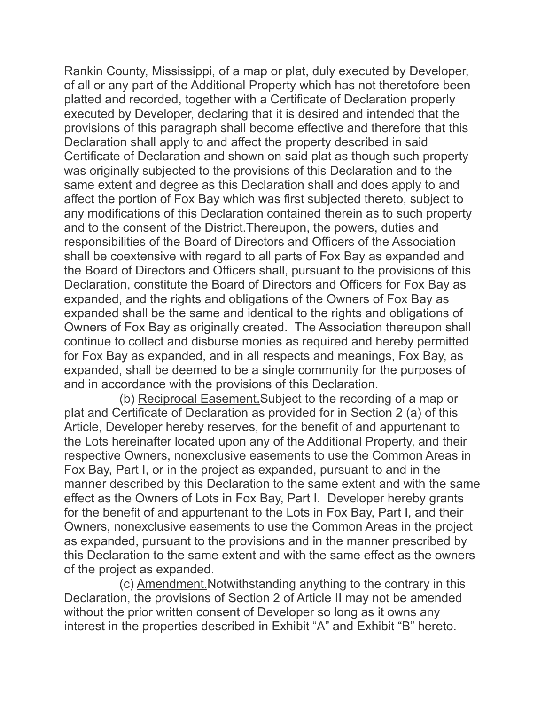Rankin County, Mississippi, of a map or plat, duly executed by Developer, of all or any part of the Additional Property which has not theretofore been platted and recorded, together with a Certificate of Declaration properly executed by Developer, declaring that it is desired and intended that the provisions of this paragraph shall become effective and therefore that this Declaration shall apply to and affect the property described in said Certificate of Declaration and shown on said plat as though such property was originally subjected to the provisions of this Declaration and to the same extent and degree as this Declaration shall and does apply to and affect the portion of Fox Bay which was first subjected thereto, subject to any modifications of this Declaration contained therein as to such property and to the consent of the District.Thereupon, the powers, duties and responsibilities of the Board of Directors and Officers of the Association shall be coextensive with regard to all parts of Fox Bay as expanded and the Board of Directors and Officers shall, pursuant to the provisions of this Declaration, constitute the Board of Directors and Officers for Fox Bay as expanded, and the rights and obligations of the Owners of Fox Bay as expanded shall be the same and identical to the rights and obligations of Owners of Fox Bay as originally created. The Association thereupon shall continue to collect and disburse monies as required and hereby permitted for Fox Bay as expanded, and in all respects and meanings, Fox Bay, as expanded, shall be deemed to be a single community for the purposes of and in accordance with the provisions of this Declaration.

 (b) Reciprocal Easement.Subject to the recording of a map or plat and Certificate of Declaration as provided for in Section 2 (a) of this Article, Developer hereby reserves, for the benefit of and appurtenant to the Lots hereinafter located upon any of the Additional Property, and their respective Owners, nonexclusive easements to use the Common Areas in Fox Bay, Part I, or in the project as expanded, pursuant to and in the manner described by this Declaration to the same extent and with the same effect as the Owners of Lots in Fox Bay, Part I. Developer hereby grants for the benefit of and appurtenant to the Lots in Fox Bay, Part I, and their Owners, nonexclusive easements to use the Common Areas in the project as expanded, pursuant to the provisions and in the manner prescribed by this Declaration to the same extent and with the same effect as the owners of the project as expanded.

 (c) Amendment.Notwithstanding anything to the contrary in this Declaration, the provisions of Section 2 of Article II may not be amended without the prior written consent of Developer so long as it owns any interest in the properties described in Exhibit "A" and Exhibit "B" hereto.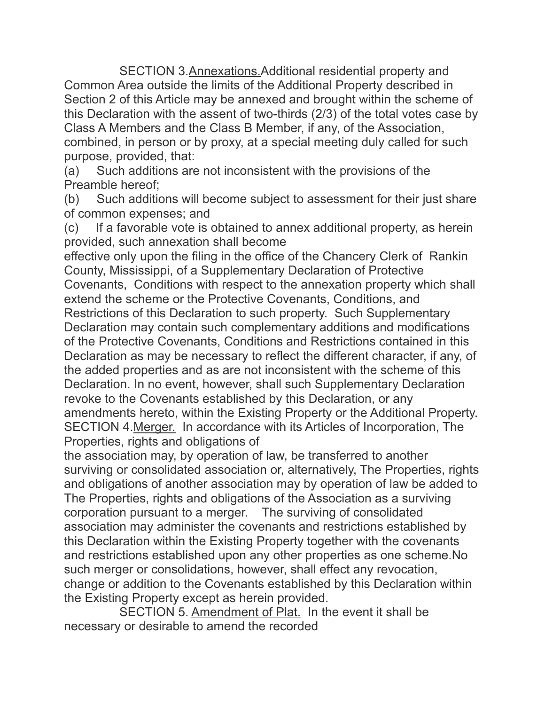SECTION 3.Annexations.Additional residential property and Common Area outside the limits of the Additional Property described in Section 2 of this Article may be annexed and brought within the scheme of this Declaration with the assent of two-thirds (2/3) of the total votes case by Class A Members and the Class B Member, if any, of the Association, combined, in person or by proxy, at a special meeting duly called for such purpose, provided, that:

(a) Such additions are not inconsistent with the provisions of the Preamble hereof;

(b) Such additions will become subject to assessment for their just share of common expenses; and

(c) If a favorable vote is obtained to annex additional property, as herein provided, such annexation shall become

effective only upon the filing in the office of the Chancery Clerk of Rankin County, Mississippi, of a Supplementary Declaration of Protective Covenants, Conditions with respect to the annexation property which shall extend the scheme or the Protective Covenants, Conditions, and Restrictions of this Declaration to such property. Such Supplementary Declaration may contain such complementary additions and modifications of the Protective Covenants, Conditions and Restrictions contained in this Declaration as may be necessary to reflect the different character, if any, of the added properties and as are not inconsistent with the scheme of this Declaration. In no event, however, shall such Supplementary Declaration revoke to the Covenants established by this Declaration, or any amendments hereto, within the Existing Property or the Additional Property. SECTION 4.Merger. In accordance with its Articles of Incorporation, The Properties, rights and obligations of

the association may, by operation of law, be transferred to another surviving or consolidated association or, alternatively, The Properties, rights and obligations of another association may by operation of law be added to The Properties, rights and obligations of the Association as a surviving corporation pursuant to a merger. The surviving of consolidated association may administer the covenants and restrictions established by this Declaration within the Existing Property together with the covenants and restrictions established upon any other properties as one scheme.No such merger or consolidations, however, shall effect any revocation, change or addition to the Covenants established by this Declaration within the Existing Property except as herein provided.

 SECTION 5. Amendment of Plat. In the event it shall be necessary or desirable to amend the recorded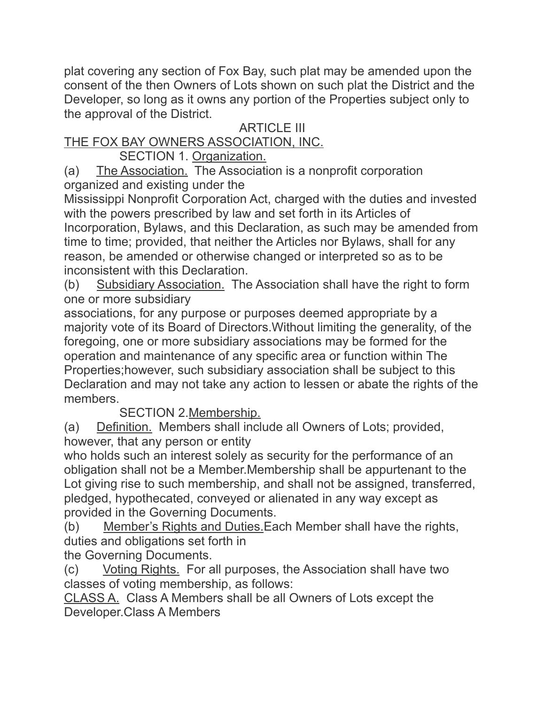plat covering any section of Fox Bay, such plat may be amended upon the consent of the then Owners of Lots shown on such plat the District and the Developer, so long as it owns any portion of the Properties subject only to the approval of the District.

## ARTICLE III

## THE FOX BAY OWNERS ASSOCIATION, INC.

SECTION 1. Organization.

(a) The Association. The Association is a nonprofit corporation organized and existing under the

Mississippi Nonprofit Corporation Act, charged with the duties and invested with the powers prescribed by law and set forth in its Articles of Incorporation, Bylaws, and this Declaration, as such may be amended from time to time; provided, that neither the Articles nor Bylaws, shall for any reason, be amended or otherwise changed or interpreted so as to be inconsistent with this Declaration.

(b) Subsidiary Association. The Association shall have the right to form one or more subsidiary

associations, for any purpose or purposes deemed appropriate by a majority vote of its Board of Directors.Without limiting the generality, of the foregoing, one or more subsidiary associations may be formed for the operation and maintenance of any specific area or function within The Properties;however, such subsidiary association shall be subject to this Declaration and may not take any action to lessen or abate the rights of the members.

SECTION 2.Membership.

(a) Definition. Members shall include all Owners of Lots; provided, however, that any person or entity

who holds such an interest solely as security for the performance of an obligation shall not be a Member.Membership shall be appurtenant to the Lot giving rise to such membership, and shall not be assigned, transferred, pledged, hypothecated, conveyed or alienated in any way except as provided in the Governing Documents.

(b) Member's Rights and Duties.Each Member shall have the rights, duties and obligations set forth in

the Governing Documents.

(c) Voting Rights. For all purposes, the Association shall have two classes of voting membership, as follows:

CLASS A. Class A Members shall be all Owners of Lots except the Developer.Class A Members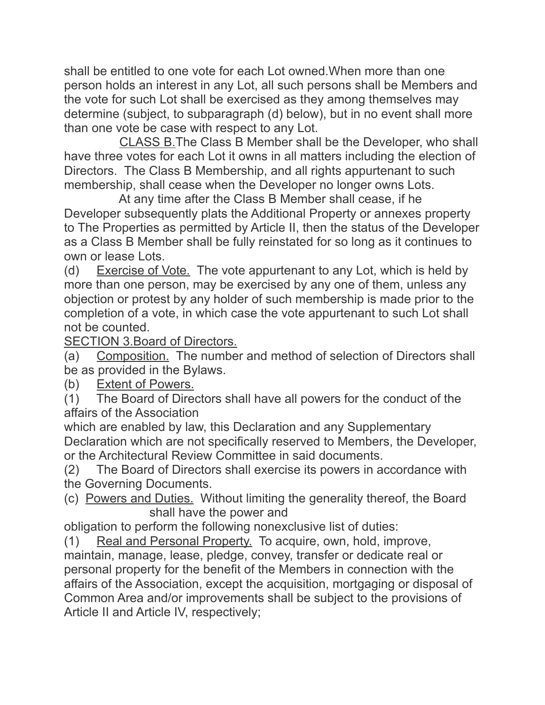shall be entitled to one vote for each Lot owned.When more than one person holds an interest in any Lot, all such persons shall be Members and the vote for such Lot shall be exercised as they among themselves may determine (subject, to subparagraph (d) below), but in no event shall more than one vote be case with respect to any Lot.

 CLASS B.The Class B Member shall be the Developer, who shall have three votes for each Lot it owns in all matters including the election of Directors. The Class B Membership, and all rights appurtenant to such membership, shall cease when the Developer no longer owns Lots.

 At any time after the Class B Member shall cease, if he Developer subsequently plats the Additional Property or annexes property to The Properties as permitted by Article II, then the status of the Developer as a Class B Member shall be fully reinstated for so long as it continues to own or lease Lots.

(d) Exercise of Vote. The vote appurtenant to any Lot, which is held by more than one person, may be exercised by any one of them, unless any objection or protest by any holder of such membership is made prior to the completion of a vote, in which case the vote appurtenant to such Lot shall not be counted.

SECTION 3.Board of Directors.

(a) Composition. The number and method of selection of Directors shall be as provided in the Bylaws.

(b) Extent of Powers.

(1) The Board of Directors shall have all powers for the conduct of the affairs of the Association

which are enabled by law, this Declaration and any Supplementary Declaration which are not specifically reserved to Members, the Developer, or the Architectural Review Committee in said documents.

(2) The Board of Directors shall exercise its powers in accordance with the Governing Documents.

(c) Powers and Duties. Without limiting the generality thereof, the Board shall have the power and

obligation to perform the following nonexclusive list of duties:

(1) Real and Personal Property. To acquire, own, hold, improve, maintain, manage, lease, pledge, convey, transfer or dedicate real or personal property for the benefit of the Members in connection with the affairs of the Association, except the acquisition, mortgaging or disposal of Common Area and/or improvements shall be subject to the provisions of Article II and Article IV, respectively;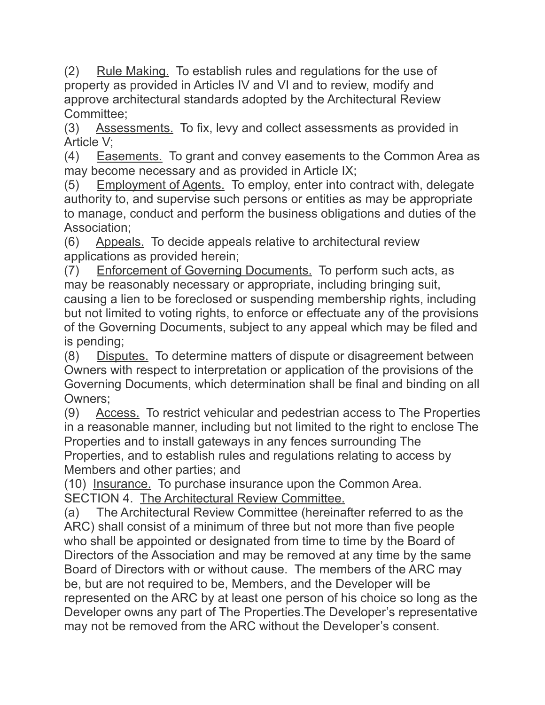(2) Rule Making. To establish rules and regulations for the use of property as provided in Articles IV and VI and to review, modify and approve architectural standards adopted by the Architectural Review Committee;

(3) Assessments. To fix, levy and collect assessments as provided in Article V;

(4) Easements. To grant and convey easements to the Common Area as may become necessary and as provided in Article IX;

(5) Employment of Agents. To employ, enter into contract with, delegate authority to, and supervise such persons or entities as may be appropriate to manage, conduct and perform the business obligations and duties of the Association;

(6) Appeals. To decide appeals relative to architectural review applications as provided herein;

(7) Enforcement of Governing Documents. To perform such acts, as may be reasonably necessary or appropriate, including bringing suit, causing a lien to be foreclosed or suspending membership rights, including but not limited to voting rights, to enforce or effectuate any of the provisions of the Governing Documents, subject to any appeal which may be filed and is pending;

(8) Disputes. To determine matters of dispute or disagreement between Owners with respect to interpretation or application of the provisions of the Governing Documents, which determination shall be final and binding on all Owners;

(9) Access. To restrict vehicular and pedestrian access to The Properties in a reasonable manner, including but not limited to the right to enclose The Properties and to install gateways in any fences surrounding The Properties, and to establish rules and regulations relating to access by Members and other parties; and

(10) Insurance. To purchase insurance upon the Common Area. SECTION 4. The Architectural Review Committee.

(a) The Architectural Review Committee (hereinafter referred to as the ARC) shall consist of a minimum of three but not more than five people who shall be appointed or designated from time to time by the Board of Directors of the Association and may be removed at any time by the same Board of Directors with or without cause. The members of the ARC may be, but are not required to be, Members, and the Developer will be represented on the ARC by at least one person of his choice so long as the Developer owns any part of The Properties.The Developer's representative may not be removed from the ARC without the Developer's consent.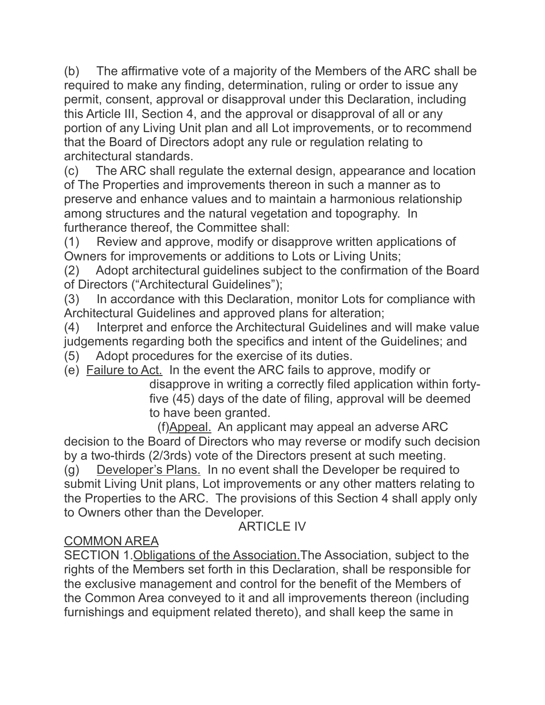(b) The affirmative vote of a majority of the Members of the ARC shall be required to make any finding, determination, ruling or order to issue any permit, consent, approval or disapproval under this Declaration, including this Article III, Section 4, and the approval or disapproval of all or any portion of any Living Unit plan and all Lot improvements, or to recommend that the Board of Directors adopt any rule or regulation relating to architectural standards.

(c) The ARC shall regulate the external design, appearance and location of The Properties and improvements thereon in such a manner as to preserve and enhance values and to maintain a harmonious relationship among structures and the natural vegetation and topography. In furtherance thereof, the Committee shall:

(1) Review and approve, modify or disapprove written applications of Owners for improvements or additions to Lots or Living Units;

(2) Adopt architectural guidelines subject to the confirmation of the Board of Directors ("Architectural Guidelines");

(3) In accordance with this Declaration, monitor Lots for compliance with Architectural Guidelines and approved plans for alteration;

(4) Interpret and enforce the Architectural Guidelines and will make value judgements regarding both the specifics and intent of the Guidelines; and

(5) Adopt procedures for the exercise of its duties.

(e) Failure to Act. In the event the ARC fails to approve, modify or

disapprove in writing a correctly filed application within fortyfive (45) days of the date of filing, approval will be deemed to have been granted.

 (f)Appeal. An applicant may appeal an adverse ARC decision to the Board of Directors who may reverse or modify such decision by a two-thirds (2/3rds) vote of the Directors present at such meeting. (g) Developer's Plans. In no event shall the Developer be required to submit Living Unit plans, Lot improvements or any other matters relating to the Properties to the ARC. The provisions of this Section 4 shall apply only to Owners other than the Developer.

**ARTICLE IV** 

## COMMON AREA

SECTION 1.Obligations of the Association.The Association, subject to the rights of the Members set forth in this Declaration, shall be responsible for the exclusive management and control for the benefit of the Members of the Common Area conveyed to it and all improvements thereon (including furnishings and equipment related thereto), and shall keep the same in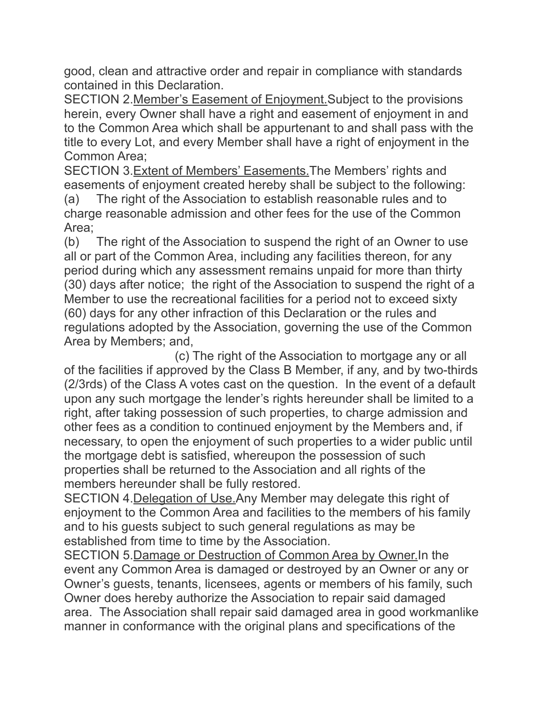good, clean and attractive order and repair in compliance with standards contained in this Declaration.

SECTION 2.Member's Easement of Enjoyment.Subject to the provisions herein, every Owner shall have a right and easement of enjoyment in and to the Common Area which shall be appurtenant to and shall pass with the title to every Lot, and every Member shall have a right of enjoyment in the Common Area;

SECTION 3.Extent of Members' Easements.The Members' rights and easements of enjoyment created hereby shall be subject to the following:

(a) The right of the Association to establish reasonable rules and to charge reasonable admission and other fees for the use of the Common Area;

(b) The right of the Association to suspend the right of an Owner to use all or part of the Common Area, including any facilities thereon, for any period during which any assessment remains unpaid for more than thirty (30) days after notice; the right of the Association to suspend the right of a Member to use the recreational facilities for a period not to exceed sixty (60) days for any other infraction of this Declaration or the rules and regulations adopted by the Association, governing the use of the Common Area by Members; and,

 (c) The right of the Association to mortgage any or all of the facilities if approved by the Class B Member, if any, and by two-thirds (2/3rds) of the Class A votes cast on the question. In the event of a default upon any such mortgage the lender's rights hereunder shall be limited to a right, after taking possession of such properties, to charge admission and other fees as a condition to continued enjoyment by the Members and, if necessary, to open the enjoyment of such properties to a wider public until the mortgage debt is satisfied, whereupon the possession of such properties shall be returned to the Association and all rights of the members hereunder shall be fully restored.

SECTION 4.Delegation of Use.Any Member may delegate this right of enjoyment to the Common Area and facilities to the members of his family and to his guests subject to such general regulations as may be established from time to time by the Association.

SECTION 5.Damage or Destruction of Common Area by Owner.In the event any Common Area is damaged or destroyed by an Owner or any or Owner's guests, tenants, licensees, agents or members of his family, such Owner does hereby authorize the Association to repair said damaged area. The Association shall repair said damaged area in good workmanlike manner in conformance with the original plans and specifications of the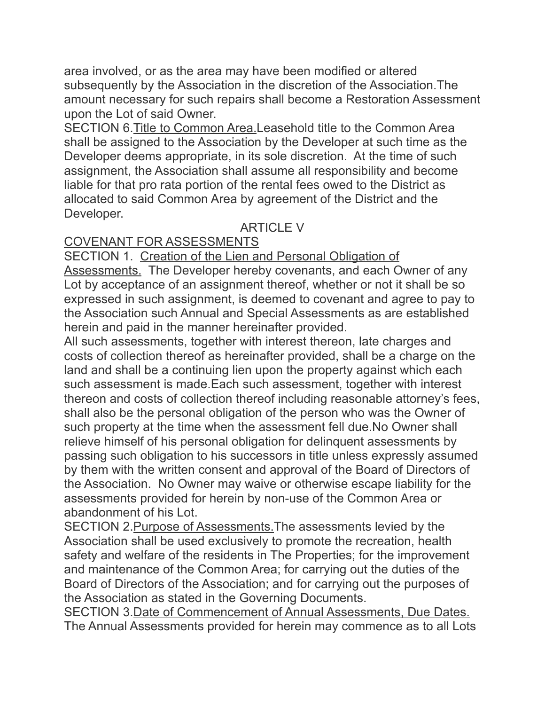area involved, or as the area may have been modified or altered subsequently by the Association in the discretion of the Association.The amount necessary for such repairs shall become a Restoration Assessment upon the Lot of said Owner.

SECTION 6.Title to Common Area.Leasehold title to the Common Area shall be assigned to the Association by the Developer at such time as the Developer deems appropriate, in its sole discretion. At the time of such assignment, the Association shall assume all responsibility and become liable for that pro rata portion of the rental fees owed to the District as allocated to said Common Area by agreement of the District and the Developer.

## **ARTICLE V**

## COVENANT FOR ASSESSMENTS

SECTION 1. Creation of the Lien and Personal Obligation of

Assessments. The Developer hereby covenants, and each Owner of any Lot by acceptance of an assignment thereof, whether or not it shall be so expressed in such assignment, is deemed to covenant and agree to pay to the Association such Annual and Special Assessments as are established herein and paid in the manner hereinafter provided.

All such assessments, together with interest thereon, late charges and costs of collection thereof as hereinafter provided, shall be a charge on the land and shall be a continuing lien upon the property against which each such assessment is made.Each such assessment, together with interest thereon and costs of collection thereof including reasonable attorney's fees, shall also be the personal obligation of the person who was the Owner of such property at the time when the assessment fell due.No Owner shall relieve himself of his personal obligation for delinquent assessments by passing such obligation to his successors in title unless expressly assumed by them with the written consent and approval of the Board of Directors of the Association. No Owner may waive or otherwise escape liability for the assessments provided for herein by non-use of the Common Area or abandonment of his Lot.

SECTION 2.Purpose of Assessments.The assessments levied by the Association shall be used exclusively to promote the recreation, health safety and welfare of the residents in The Properties; for the improvement and maintenance of the Common Area; for carrying out the duties of the Board of Directors of the Association; and for carrying out the purposes of the Association as stated in the Governing Documents.

SECTION 3.Date of Commencement of Annual Assessments, Due Dates. The Annual Assessments provided for herein may commence as to all Lots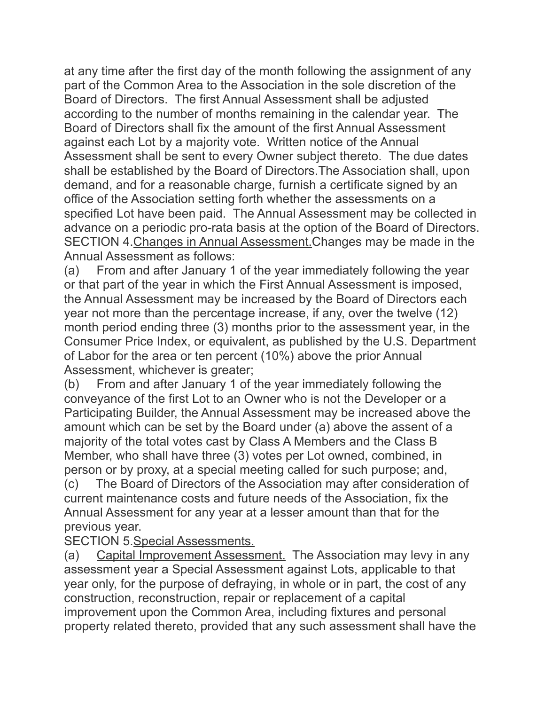at any time after the first day of the month following the assignment of any part of the Common Area to the Association in the sole discretion of the Board of Directors. The first Annual Assessment shall be adjusted according to the number of months remaining in the calendar year. The Board of Directors shall fix the amount of the first Annual Assessment against each Lot by a majority vote. Written notice of the Annual Assessment shall be sent to every Owner subject thereto. The due dates shall be established by the Board of Directors.The Association shall, upon demand, and for a reasonable charge, furnish a certificate signed by an office of the Association setting forth whether the assessments on a specified Lot have been paid. The Annual Assessment may be collected in advance on a periodic pro-rata basis at the option of the Board of Directors. SECTION 4.Changes in Annual Assessment.Changes may be made in the Annual Assessment as follows:

(a) From and after January 1 of the year immediately following the year or that part of the year in which the First Annual Assessment is imposed, the Annual Assessment may be increased by the Board of Directors each year not more than the percentage increase, if any, over the twelve (12) month period ending three (3) months prior to the assessment year, in the Consumer Price Index, or equivalent, as published by the U.S. Department of Labor for the area or ten percent (10%) above the prior Annual Assessment, whichever is greater;

(b) From and after January 1 of the year immediately following the conveyance of the first Lot to an Owner who is not the Developer or a Participating Builder, the Annual Assessment may be increased above the amount which can be set by the Board under (a) above the assent of a majority of the total votes cast by Class A Members and the Class B Member, who shall have three (3) votes per Lot owned, combined, in person or by proxy, at a special meeting called for such purpose; and,

(c) The Board of Directors of the Association may after consideration of current maintenance costs and future needs of the Association, fix the Annual Assessment for any year at a lesser amount than that for the previous year.

SECTION 5.Special Assessments.

(a) Capital Improvement Assessment. The Association may levy in any assessment year a Special Assessment against Lots, applicable to that year only, for the purpose of defraying, in whole or in part, the cost of any construction, reconstruction, repair or replacement of a capital improvement upon the Common Area, including fixtures and personal property related thereto, provided that any such assessment shall have the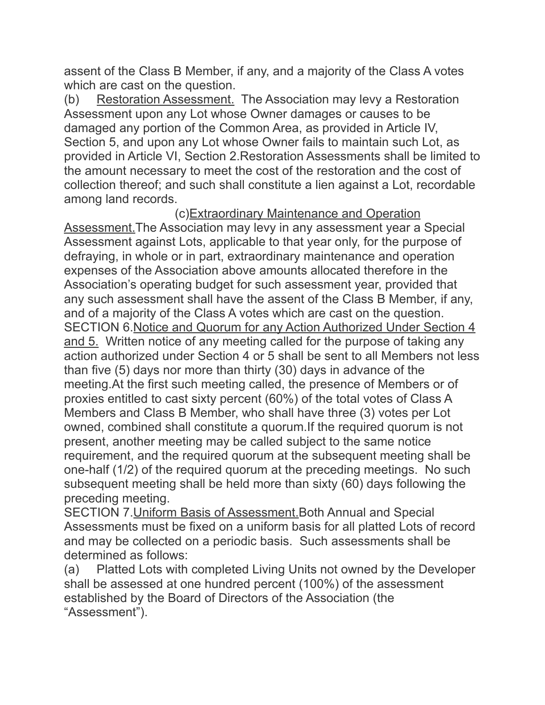assent of the Class B Member, if any, and a majority of the Class A votes which are cast on the question.

(b) Restoration Assessment. The Association may levy a Restoration Assessment upon any Lot whose Owner damages or causes to be damaged any portion of the Common Area, as provided in Article IV, Section 5, and upon any Lot whose Owner fails to maintain such Lot, as provided in Article VI, Section 2.Restoration Assessments shall be limited to the amount necessary to meet the cost of the restoration and the cost of collection thereof; and such shall constitute a lien against a Lot, recordable among land records.

 (c)Extraordinary Maintenance and Operation Assessment.The Association may levy in any assessment year a Special Assessment against Lots, applicable to that year only, for the purpose of defraying, in whole or in part, extraordinary maintenance and operation expenses of the Association above amounts allocated therefore in the Association's operating budget for such assessment year, provided that any such assessment shall have the assent of the Class B Member, if any, and of a majority of the Class A votes which are cast on the question. SECTION 6.Notice and Quorum for any Action Authorized Under Section 4 and 5. Written notice of any meeting called for the purpose of taking any action authorized under Section 4 or 5 shall be sent to all Members not less than five (5) days nor more than thirty (30) days in advance of the meeting.At the first such meeting called, the presence of Members or of proxies entitled to cast sixty percent (60%) of the total votes of Class A Members and Class B Member, who shall have three (3) votes per Lot owned, combined shall constitute a quorum.If the required quorum is not present, another meeting may be called subject to the same notice requirement, and the required quorum at the subsequent meeting shall be one-half (1/2) of the required quorum at the preceding meetings. No such subsequent meeting shall be held more than sixty (60) days following the preceding meeting.

SECTION 7. Uniform Basis of Assessment. Both Annual and Special Assessments must be fixed on a uniform basis for all platted Lots of record and may be collected on a periodic basis. Such assessments shall be determined as follows:

(a) Platted Lots with completed Living Units not owned by the Developer shall be assessed at one hundred percent (100%) of the assessment established by the Board of Directors of the Association (the "Assessment").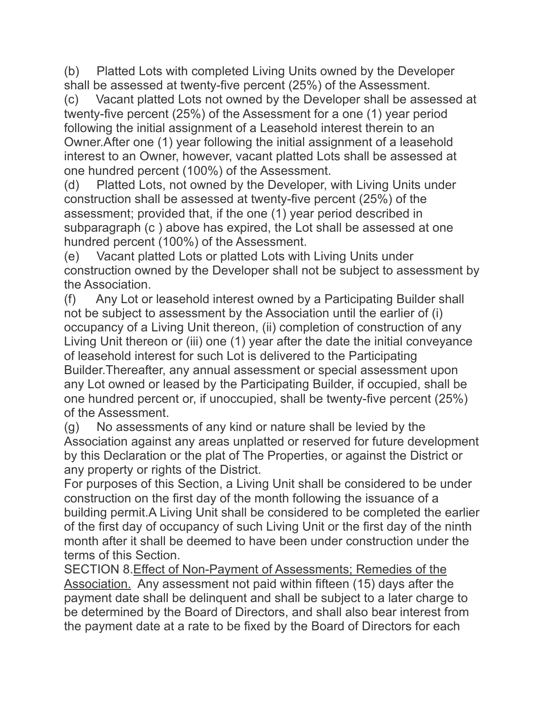(b) Platted Lots with completed Living Units owned by the Developer shall be assessed at twenty-five percent (25%) of the Assessment.

(c) Vacant platted Lots not owned by the Developer shall be assessed at twenty-five percent (25%) of the Assessment for a one (1) year period following the initial assignment of a Leasehold interest therein to an Owner.After one (1) year following the initial assignment of a leasehold interest to an Owner, however, vacant platted Lots shall be assessed at one hundred percent (100%) of the Assessment.

(d) Platted Lots, not owned by the Developer, with Living Units under construction shall be assessed at twenty-five percent (25%) of the assessment; provided that, if the one (1) year period described in subparagraph (c ) above has expired, the Lot shall be assessed at one hundred percent (100%) of the Assessment.

(e) Vacant platted Lots or platted Lots with Living Units under construction owned by the Developer shall not be subject to assessment by the Association.

(f) Any Lot or leasehold interest owned by a Participating Builder shall not be subject to assessment by the Association until the earlier of (i) occupancy of a Living Unit thereon, (ii) completion of construction of any Living Unit thereon or (iii) one (1) year after the date the initial conveyance of leasehold interest for such Lot is delivered to the Participating Builder.Thereafter, any annual assessment or special assessment upon any Lot owned or leased by the Participating Builder, if occupied, shall be one hundred percent or, if unoccupied, shall be twenty-five percent (25%) of the Assessment.

(g) No assessments of any kind or nature shall be levied by the Association against any areas unplatted or reserved for future development by this Declaration or the plat of The Properties, or against the District or any property or rights of the District.

For purposes of this Section, a Living Unit shall be considered to be under construction on the first day of the month following the issuance of a building permit.A Living Unit shall be considered to be completed the earlier of the first day of occupancy of such Living Unit or the first day of the ninth month after it shall be deemed to have been under construction under the terms of this Section.

SECTION 8.Effect of Non-Payment of Assessments; Remedies of the Association. Any assessment not paid within fifteen (15) days after the payment date shall be delinquent and shall be subject to a later charge to be determined by the Board of Directors, and shall also bear interest from the payment date at a rate to be fixed by the Board of Directors for each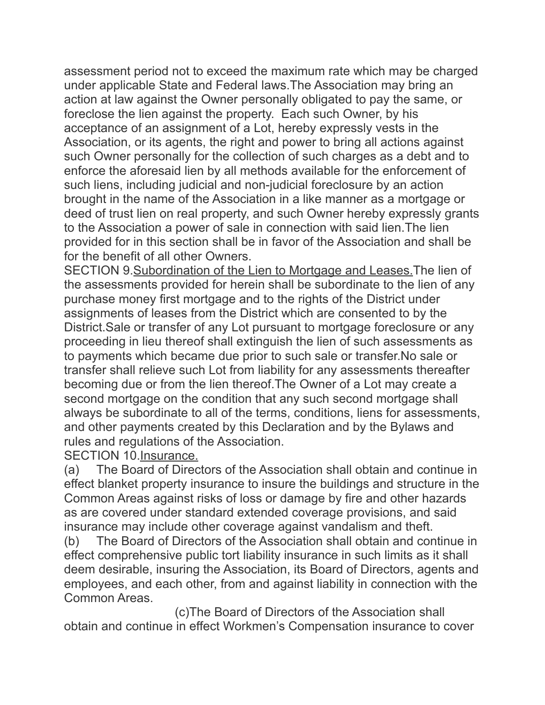assessment period not to exceed the maximum rate which may be charged under applicable State and Federal laws.The Association may bring an action at law against the Owner personally obligated to pay the same, or foreclose the lien against the property. Each such Owner, by his acceptance of an assignment of a Lot, hereby expressly vests in the Association, or its agents, the right and power to bring all actions against such Owner personally for the collection of such charges as a debt and to enforce the aforesaid lien by all methods available for the enforcement of such liens, including judicial and non-judicial foreclosure by an action brought in the name of the Association in a like manner as a mortgage or deed of trust lien on real property, and such Owner hereby expressly grants to the Association a power of sale in connection with said lien.The lien provided for in this section shall be in favor of the Association and shall be for the benefit of all other Owners.

SECTION 9.Subordination of the Lien to Mortgage and Leases.The lien of the assessments provided for herein shall be subordinate to the lien of any purchase money first mortgage and to the rights of the District under assignments of leases from the District which are consented to by the District.Sale or transfer of any Lot pursuant to mortgage foreclosure or any proceeding in lieu thereof shall extinguish the lien of such assessments as to payments which became due prior to such sale or transfer.No sale or transfer shall relieve such Lot from liability for any assessments thereafter becoming due or from the lien thereof.The Owner of a Lot may create a second mortgage on the condition that any such second mortgage shall always be subordinate to all of the terms, conditions, liens for assessments, and other payments created by this Declaration and by the Bylaws and rules and regulations of the Association.

SECTION 10.Insurance.

(a) The Board of Directors of the Association shall obtain and continue in effect blanket property insurance to insure the buildings and structure in the Common Areas against risks of loss or damage by fire and other hazards as are covered under standard extended coverage provisions, and said insurance may include other coverage against vandalism and theft.

(b) The Board of Directors of the Association shall obtain and continue in effect comprehensive public tort liability insurance in such limits as it shall deem desirable, insuring the Association, its Board of Directors, agents and employees, and each other, from and against liability in connection with the Common Areas.

 (c)The Board of Directors of the Association shall obtain and continue in effect Workmen's Compensation insurance to cover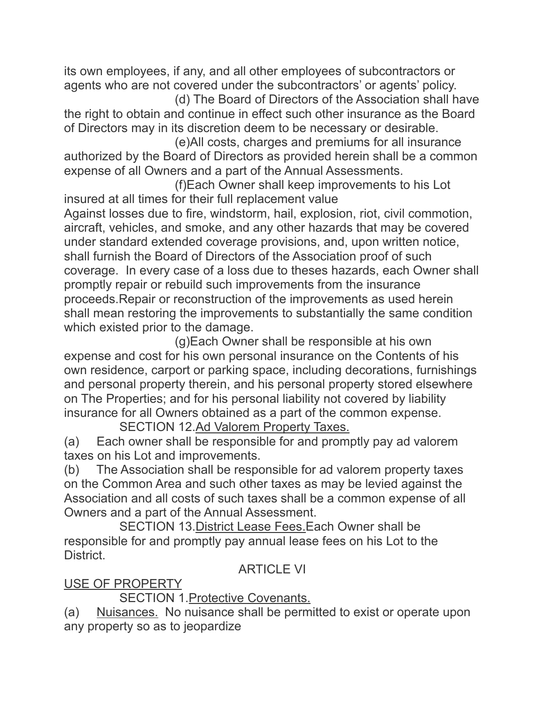its own employees, if any, and all other employees of subcontractors or agents who are not covered under the subcontractors' or agents' policy.

 (d) The Board of Directors of the Association shall have the right to obtain and continue in effect such other insurance as the Board of Directors may in its discretion deem to be necessary or desirable.

 (e)All costs, charges and premiums for all insurance authorized by the Board of Directors as provided herein shall be a common expense of all Owners and a part of the Annual Assessments.

 (f)Each Owner shall keep improvements to his Lot insured at all times for their full replacement value Against losses due to fire, windstorm, hail, explosion, riot, civil commotion, aircraft, vehicles, and smoke, and any other hazards that may be covered under standard extended coverage provisions, and, upon written notice, shall furnish the Board of Directors of the Association proof of such coverage. In every case of a loss due to theses hazards, each Owner shall promptly repair or rebuild such improvements from the insurance proceeds.Repair or reconstruction of the improvements as used herein shall mean restoring the improvements to substantially the same condition which existed prior to the damage.

 (g)Each Owner shall be responsible at his own expense and cost for his own personal insurance on the Contents of his own residence, carport or parking space, including decorations, furnishings and personal property therein, and his personal property stored elsewhere on The Properties; and for his personal liability not covered by liability insurance for all Owners obtained as a part of the common expense.

SECTION 12.Ad Valorem Property Taxes.

(a) Each owner shall be responsible for and promptly pay ad valorem taxes on his Lot and improvements.

(b) The Association shall be responsible for ad valorem property taxes on the Common Area and such other taxes as may be levied against the Association and all costs of such taxes shall be a common expense of all Owners and a part of the Annual Assessment.

 SECTION 13.District Lease Fees.Each Owner shall be responsible for and promptly pay annual lease fees on his Lot to the District.

**ARTICLE VI** 

USE OF PROPERTY

SECTION 1.Protective Covenants.

(a) Nuisances. No nuisance shall be permitted to exist or operate upon any property so as to jeopardize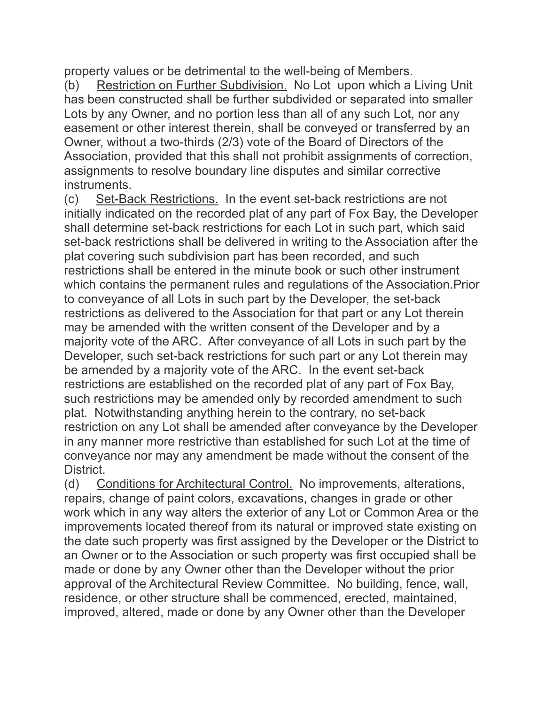property values or be detrimental to the well-being of Members.

(b) Restriction on Further Subdivision. No Lot upon which a Living Unit has been constructed shall be further subdivided or separated into smaller Lots by any Owner, and no portion less than all of any such Lot, nor any easement or other interest therein, shall be conveyed or transferred by an Owner, without a two-thirds (2/3) vote of the Board of Directors of the Association, provided that this shall not prohibit assignments of correction, assignments to resolve boundary line disputes and similar corrective instruments.

(c) Set-Back Restrictions. In the event set-back restrictions are not initially indicated on the recorded plat of any part of Fox Bay, the Developer shall determine set-back restrictions for each Lot in such part, which said set-back restrictions shall be delivered in writing to the Association after the plat covering such subdivision part has been recorded, and such restrictions shall be entered in the minute book or such other instrument which contains the permanent rules and regulations of the Association.Prior to conveyance of all Lots in such part by the Developer, the set-back restrictions as delivered to the Association for that part or any Lot therein may be amended with the written consent of the Developer and by a majority vote of the ARC. After conveyance of all Lots in such part by the Developer, such set-back restrictions for such part or any Lot therein may be amended by a majority vote of the ARC. In the event set-back restrictions are established on the recorded plat of any part of Fox Bay, such restrictions may be amended only by recorded amendment to such plat. Notwithstanding anything herein to the contrary, no set-back restriction on any Lot shall be amended after conveyance by the Developer in any manner more restrictive than established for such Lot at the time of conveyance nor may any amendment be made without the consent of the District.

(d) Conditions for Architectural Control. No improvements, alterations, repairs, change of paint colors, excavations, changes in grade or other work which in any way alters the exterior of any Lot or Common Area or the improvements located thereof from its natural or improved state existing on the date such property was first assigned by the Developer or the District to an Owner or to the Association or such property was first occupied shall be made or done by any Owner other than the Developer without the prior approval of the Architectural Review Committee. No building, fence, wall, residence, or other structure shall be commenced, erected, maintained, improved, altered, made or done by any Owner other than the Developer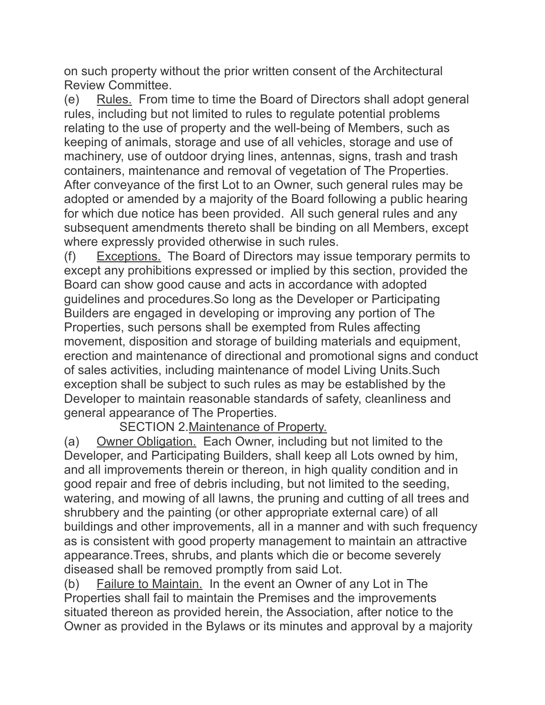on such property without the prior written consent of the Architectural Review Committee.

(e) Rules. From time to time the Board of Directors shall adopt general rules, including but not limited to rules to regulate potential problems relating to the use of property and the well-being of Members, such as keeping of animals, storage and use of all vehicles, storage and use of machinery, use of outdoor drying lines, antennas, signs, trash and trash containers, maintenance and removal of vegetation of The Properties. After conveyance of the first Lot to an Owner, such general rules may be adopted or amended by a majority of the Board following a public hearing for which due notice has been provided. All such general rules and any subsequent amendments thereto shall be binding on all Members, except where expressly provided otherwise in such rules.

(f) Exceptions. The Board of Directors may issue temporary permits to except any prohibitions expressed or implied by this section, provided the Board can show good cause and acts in accordance with adopted guidelines and procedures.So long as the Developer or Participating Builders are engaged in developing or improving any portion of The Properties, such persons shall be exempted from Rules affecting movement, disposition and storage of building materials and equipment, erection and maintenance of directional and promotional signs and conduct of sales activities, including maintenance of model Living Units.Such exception shall be subject to such rules as may be established by the Developer to maintain reasonable standards of safety, cleanliness and general appearance of The Properties.

SECTION 2.Maintenance of Property.

(a) Owner Obligation. Each Owner, including but not limited to the Developer, and Participating Builders, shall keep all Lots owned by him, and all improvements therein or thereon, in high quality condition and in good repair and free of debris including, but not limited to the seeding, watering, and mowing of all lawns, the pruning and cutting of all trees and shrubbery and the painting (or other appropriate external care) of all buildings and other improvements, all in a manner and with such frequency as is consistent with good property management to maintain an attractive appearance.Trees, shrubs, and plants which die or become severely diseased shall be removed promptly from said Lot.

(b) Failure to Maintain. In the event an Owner of any Lot in The Properties shall fail to maintain the Premises and the improvements situated thereon as provided herein, the Association, after notice to the Owner as provided in the Bylaws or its minutes and approval by a majority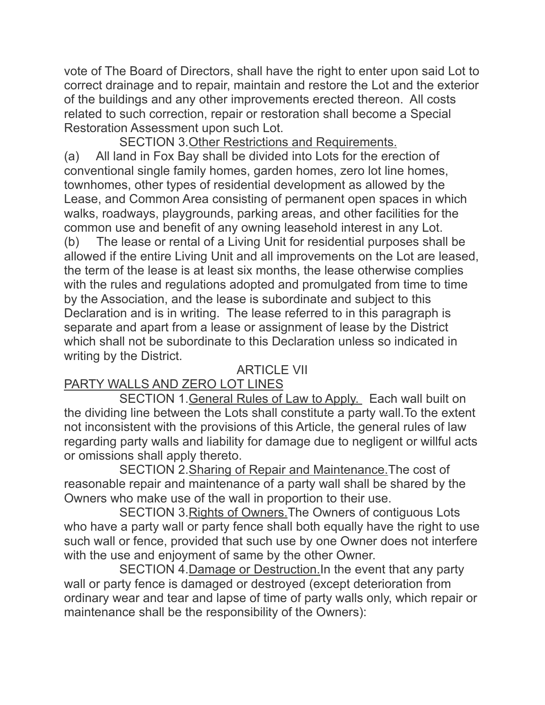vote of The Board of Directors, shall have the right to enter upon said Lot to correct drainage and to repair, maintain and restore the Lot and the exterior of the buildings and any other improvements erected thereon. All costs related to such correction, repair or restoration shall become a Special Restoration Assessment upon such Lot.

 SECTION 3.Other Restrictions and Requirements. (a) All land in Fox Bay shall be divided into Lots for the erection of conventional single family homes, garden homes, zero lot line homes, townhomes, other types of residential development as allowed by the Lease, and Common Area consisting of permanent open spaces in which walks, roadways, playgrounds, parking areas, and other facilities for the common use and benefit of any owning leasehold interest in any Lot. (b) The lease or rental of a Living Unit for residential purposes shall be allowed if the entire Living Unit and all improvements on the Lot are leased, the term of the lease is at least six months, the lease otherwise complies with the rules and regulations adopted and promulgated from time to time by the Association, and the lease is subordinate and subject to this Declaration and is in writing. The lease referred to in this paragraph is separate and apart from a lease or assignment of lease by the District which shall not be subordinate to this Declaration unless so indicated in writing by the District.

## ARTICLE VII

# PARTY WALLS AND ZERO LOT LINES

 SECTION 1.General Rules of Law to Apply. Each wall built on the dividing line between the Lots shall constitute a party wall.To the extent not inconsistent with the provisions of this Article, the general rules of law regarding party walls and liability for damage due to negligent or willful acts or omissions shall apply thereto.

 SECTION 2.Sharing of Repair and Maintenance.The cost of reasonable repair and maintenance of a party wall shall be shared by the Owners who make use of the wall in proportion to their use.

 SECTION 3.Rights of Owners.The Owners of contiguous Lots who have a party wall or party fence shall both equally have the right to use such wall or fence, provided that such use by one Owner does not interfere with the use and enjoyment of same by the other Owner.

 SECTION 4.Damage or Destruction.In the event that any party wall or party fence is damaged or destroyed (except deterioration from ordinary wear and tear and lapse of time of party walls only, which repair or maintenance shall be the responsibility of the Owners):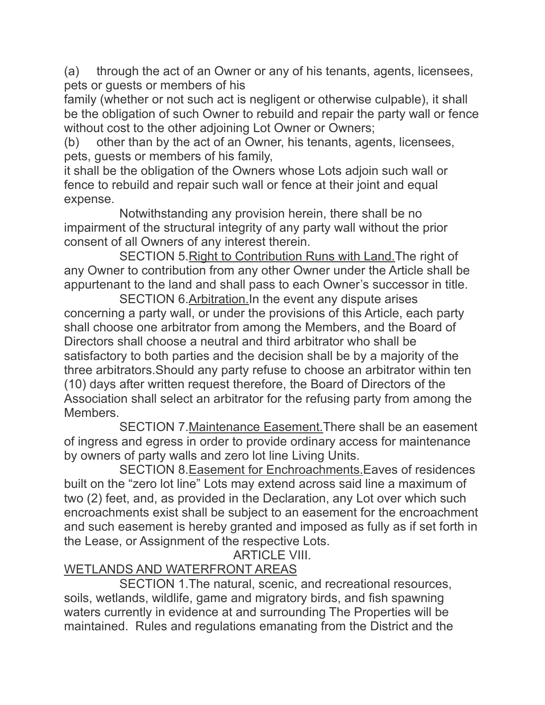(a) through the act of an Owner or any of his tenants, agents, licensees, pets or guests or members of his

family (whether or not such act is negligent or otherwise culpable), it shall be the obligation of such Owner to rebuild and repair the party wall or fence without cost to the other adjoining Lot Owner or Owners;

(b) other than by the act of an Owner, his tenants, agents, licensees, pets, guests or members of his family,

it shall be the obligation of the Owners whose Lots adjoin such wall or fence to rebuild and repair such wall or fence at their joint and equal expense.

 Notwithstanding any provision herein, there shall be no impairment of the structural integrity of any party wall without the prior consent of all Owners of any interest therein.

 SECTION 5.Right to Contribution Runs with Land.The right of any Owner to contribution from any other Owner under the Article shall be appurtenant to the land and shall pass to each Owner's successor in title.

 SECTION 6.Arbitration.In the event any dispute arises concerning a party wall, or under the provisions of this Article, each party shall choose one arbitrator from among the Members, and the Board of Directors shall choose a neutral and third arbitrator who shall be satisfactory to both parties and the decision shall be by a majority of the three arbitrators.Should any party refuse to choose an arbitrator within ten (10) days after written request therefore, the Board of Directors of the Association shall select an arbitrator for the refusing party from among the Members.

 SECTION 7.Maintenance Easement.There shall be an easement of ingress and egress in order to provide ordinary access for maintenance by owners of party walls and zero lot line Living Units.

 SECTION 8.Easement for Enchroachments.Eaves of residences built on the "zero lot line" Lots may extend across said line a maximum of two (2) feet, and, as provided in the Declaration, any Lot over which such encroachments exist shall be subject to an easement for the encroachment and such easement is hereby granted and imposed as fully as if set forth in the Lease, or Assignment of the respective Lots.

ARTICLE VIII.

# WETLANDS AND WATERFRONT AREAS

 SECTION 1.The natural, scenic, and recreational resources, soils, wetlands, wildlife, game and migratory birds, and fish spawning waters currently in evidence at and surrounding The Properties will be maintained. Rules and regulations emanating from the District and the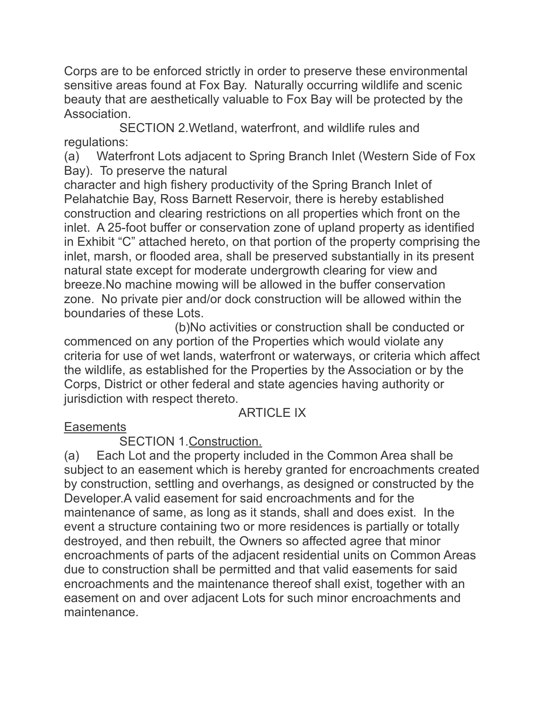Corps are to be enforced strictly in order to preserve these environmental sensitive areas found at Fox Bay. Naturally occurring wildlife and scenic beauty that are aesthetically valuable to Fox Bay will be protected by the Association.

 SECTION 2.Wetland, waterfront, and wildlife rules and regulations:

(a) Waterfront Lots adjacent to Spring Branch Inlet (Western Side of Fox Bay). To preserve the natural

character and high fishery productivity of the Spring Branch Inlet of Pelahatchie Bay, Ross Barnett Reservoir, there is hereby established construction and clearing restrictions on all properties which front on the inlet. A 25-foot buffer or conservation zone of upland property as identified in Exhibit "C" attached hereto, on that portion of the property comprising the inlet, marsh, or flooded area, shall be preserved substantially in its present natural state except for moderate undergrowth clearing for view and breeze.No machine mowing will be allowed in the buffer conservation zone. No private pier and/or dock construction will be allowed within the boundaries of these Lots.

 (b)No activities or construction shall be conducted or commenced on any portion of the Properties which would violate any criteria for use of wet lands, waterfront or waterways, or criteria which affect the wildlife, as established for the Properties by the Association or by the Corps, District or other federal and state agencies having authority or jurisdiction with respect thereto.

## ARTICLE IX

## **Easements**

## SECTION 1.Construction.

(a) Each Lot and the property included in the Common Area shall be subject to an easement which is hereby granted for encroachments created by construction, settling and overhangs, as designed or constructed by the Developer.A valid easement for said encroachments and for the maintenance of same, as long as it stands, shall and does exist. In the event a structure containing two or more residences is partially or totally destroyed, and then rebuilt, the Owners so affected agree that minor encroachments of parts of the adjacent residential units on Common Areas due to construction shall be permitted and that valid easements for said encroachments and the maintenance thereof shall exist, together with an easement on and over adjacent Lots for such minor encroachments and maintenance.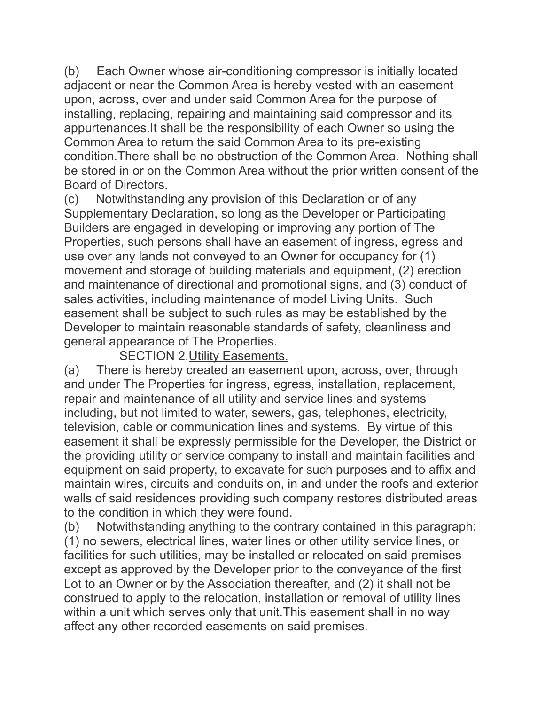(b) Each Owner whose air-conditioning compressor is initially located adjacent or near the Common Area is hereby vested with an easement upon, across, over and under said Common Area for the purpose of installing, replacing, repairing and maintaining said compressor and its appurtenances.It shall be the responsibility of each Owner so using the Common Area to return the said Common Area to its pre-existing condition.There shall be no obstruction of the Common Area. Nothing shall be stored in or on the Common Area without the prior written consent of the Board of Directors.

(c) Notwithstanding any provision of this Declaration or of any Supplementary Declaration, so long as the Developer or Participating Builders are engaged in developing or improving any portion of The Properties, such persons shall have an easement of ingress, egress and use over any lands not conveyed to an Owner for occupancy for (1) movement and storage of building materials and equipment, (2) erection and maintenance of directional and promotional signs, and (3) conduct of sales activities, including maintenance of model Living Units. Such easement shall be subject to such rules as may be established by the Developer to maintain reasonable standards of safety, cleanliness and general appearance of The Properties.

SECTION 2. Utility Easements.

(a) There is hereby created an easement upon, across, over, through and under The Properties for ingress, egress, installation, replacement, repair and maintenance of all utility and service lines and systems including, but not limited to water, sewers, gas, telephones, electricity, television, cable or communication lines and systems. By virtue of this easement it shall be expressly permissible for the Developer, the District or the providing utility or service company to install and maintain facilities and equipment on said property, to excavate for such purposes and to affix and maintain wires, circuits and conduits on, in and under the roofs and exterior walls of said residences providing such company restores distributed areas to the condition in which they were found.

(b) Notwithstanding anything to the contrary contained in this paragraph: (1) no sewers, electrical lines, water lines or other utility service lines, or facilities for such utilities, may be installed or relocated on said premises except as approved by the Developer prior to the conveyance of the first Lot to an Owner or by the Association thereafter, and (2) it shall not be construed to apply to the relocation, installation or removal of utility lines within a unit which serves only that unit.This easement shall in no way affect any other recorded easements on said premises.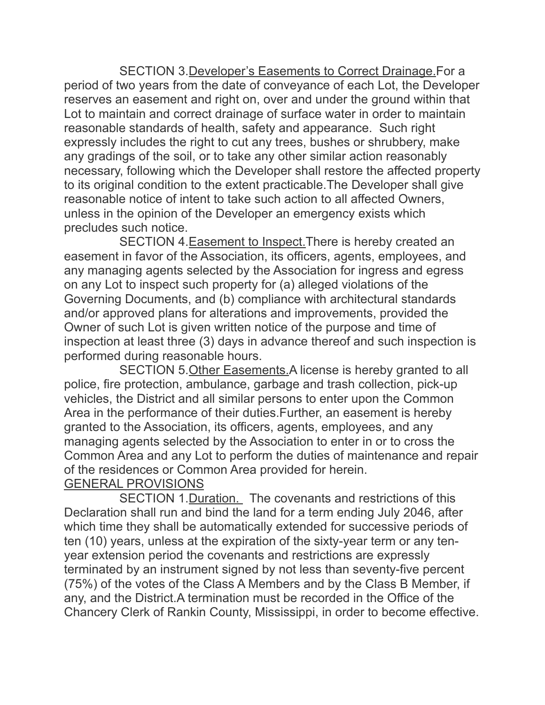SECTION 3.Developer's Easements to Correct Drainage.For a period of two years from the date of conveyance of each Lot, the Developer reserves an easement and right on, over and under the ground within that Lot to maintain and correct drainage of surface water in order to maintain reasonable standards of health, safety and appearance. Such right expressly includes the right to cut any trees, bushes or shrubbery, make any gradings of the soil, or to take any other similar action reasonably necessary, following which the Developer shall restore the affected property to its original condition to the extent practicable.The Developer shall give reasonable notice of intent to take such action to all affected Owners, unless in the opinion of the Developer an emergency exists which precludes such notice.

 SECTION 4.Easement to Inspect.There is hereby created an easement in favor of the Association, its officers, agents, employees, and any managing agents selected by the Association for ingress and egress on any Lot to inspect such property for (a) alleged violations of the Governing Documents, and (b) compliance with architectural standards and/or approved plans for alterations and improvements, provided the Owner of such Lot is given written notice of the purpose and time of inspection at least three (3) days in advance thereof and such inspection is performed during reasonable hours.

SECTION 5. Other Easements. A license is hereby granted to all police, fire protection, ambulance, garbage and trash collection, pick-up vehicles, the District and all similar persons to enter upon the Common Area in the performance of their duties.Further, an easement is hereby granted to the Association, its officers, agents, employees, and any managing agents selected by the Association to enter in or to cross the Common Area and any Lot to perform the duties of maintenance and repair of the residences or Common Area provided for herein.

#### GENERAL PROVISIONS

 SECTION 1.Duration. The covenants and restrictions of this Declaration shall run and bind the land for a term ending July 2046, after which time they shall be automatically extended for successive periods of ten (10) years, unless at the expiration of the sixty-year term or any tenyear extension period the covenants and restrictions are expressly terminated by an instrument signed by not less than seventy-five percent (75%) of the votes of the Class A Members and by the Class B Member, if any, and the District.A termination must be recorded in the Office of the Chancery Clerk of Rankin County, Mississippi, in order to become effective.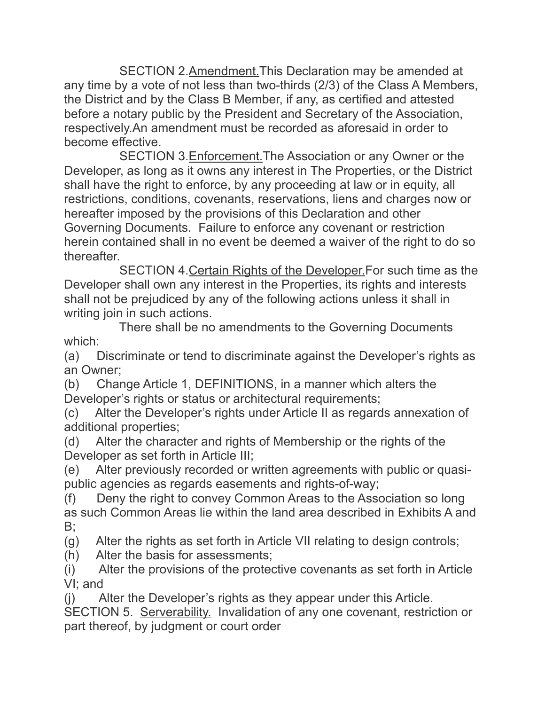SECTION 2.Amendment.This Declaration may be amended at any time by a vote of not less than two-thirds (2/3) of the Class A Members, the District and by the Class B Member, if any, as certified and attested before a notary public by the President and Secretary of the Association, respectively.An amendment must be recorded as aforesaid in order to become effective.

 SECTION 3.Enforcement.The Association or any Owner or the Developer, as long as it owns any interest in The Properties, or the District shall have the right to enforce, by any proceeding at law or in equity, all restrictions, conditions, covenants, reservations, liens and charges now or hereafter imposed by the provisions of this Declaration and other Governing Documents. Failure to enforce any covenant or restriction herein contained shall in no event be deemed a waiver of the right to do so thereafter.

 SECTION 4.Certain Rights of the Developer.For such time as the Developer shall own any interest in the Properties, its rights and interests shall not be prejudiced by any of the following actions unless it shall in writing join in such actions.

 There shall be no amendments to the Governing Documents which:

(a) Discriminate or tend to discriminate against the Developer's rights as an Owner;

(b) Change Article 1, DEFINITIONS, in a manner which alters the Developer's rights or status or architectural requirements;

(c) Alter the Developer's rights under Article II as regards annexation of additional properties;

(d) Alter the character and rights of Membership or the rights of the Developer as set forth in Article III;

(e) Alter previously recorded or written agreements with public or quasipublic agencies as regards easements and rights-of-way;

(f) Deny the right to convey Common Areas to the Association so long as such Common Areas lie within the land area described in Exhibits A and B;

(g) Alter the rights as set forth in Article VII relating to design controls;

(h) Alter the basis for assessments;

(i) Alter the provisions of the protective covenants as set forth in Article VI; and

(j) Alter the Developer's rights as they appear under this Article.

SECTION 5. Serverability. Invalidation of any one covenant, restriction or part thereof, by judgment or court order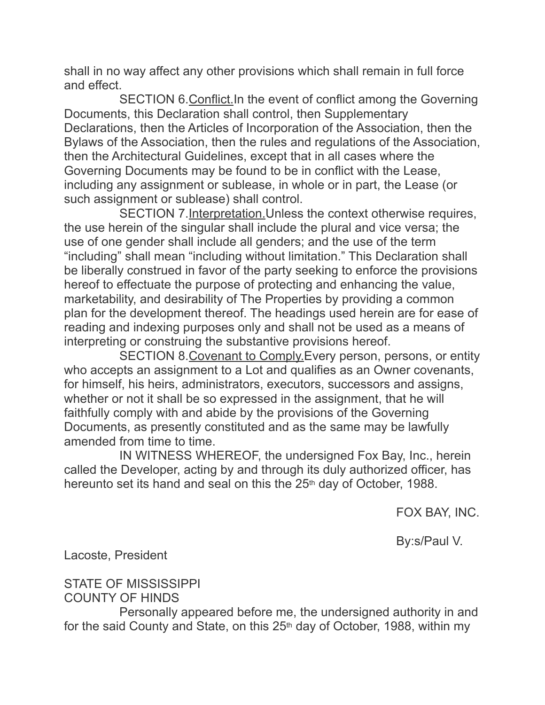shall in no way affect any other provisions which shall remain in full force and effect.

 SECTION 6.Conflict.In the event of conflict among the Governing Documents, this Declaration shall control, then Supplementary Declarations, then the Articles of Incorporation of the Association, then the Bylaws of the Association, then the rules and regulations of the Association, then the Architectural Guidelines, except that in all cases where the Governing Documents may be found to be in conflict with the Lease, including any assignment or sublease, in whole or in part, the Lease (or such assignment or sublease) shall control.

 SECTION 7.Interpretation.Unless the context otherwise requires, the use herein of the singular shall include the plural and vice versa; the use of one gender shall include all genders; and the use of the term "including" shall mean "including without limitation." This Declaration shall be liberally construed in favor of the party seeking to enforce the provisions hereof to effectuate the purpose of protecting and enhancing the value, marketability, and desirability of The Properties by providing a common plan for the development thereof. The headings used herein are for ease of reading and indexing purposes only and shall not be used as a means of interpreting or construing the substantive provisions hereof.

 SECTION 8.Covenant to Comply.Every person, persons, or entity who accepts an assignment to a Lot and qualifies as an Owner covenants, for himself, his heirs, administrators, executors, successors and assigns, whether or not it shall be so expressed in the assignment, that he will faithfully comply with and abide by the provisions of the Governing Documents, as presently constituted and as the same may be lawfully amended from time to time.

 IN WITNESS WHEREOF, the undersigned Fox Bay, Inc., herein called the Developer, acting by and through its duly authorized officer, has hereunto set its hand and seal on this the 25<sup>th</sup> day of October, 1988.

FOX BAY, INC.

By:s/Paul V.

Lacoste, President

STATE OF MISSISSIPPI COUNTY OF HINDS

 Personally appeared before me, the undersigned authority in and for the said County and State, on this 25<sup>th</sup> day of October, 1988, within my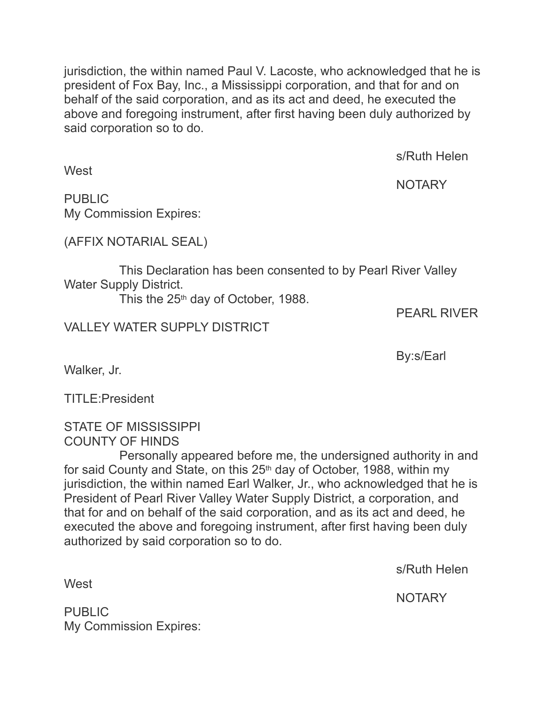jurisdiction, the within named Paul V. Lacoste, who acknowledged that he is president of Fox Bay, Inc., a Mississippi corporation, and that for and on behalf of the said corporation, and as its act and deed, he executed the above and foregoing instrument, after first having been duly authorized by said corporation so to do.

s/Ruth Helen

**NOTARY** 

PUBLIC My Commission Expires:

(AFFIX NOTARIAL SEAL)

 This Declaration has been consented to by Pearl River Valley Water Supply District.

This the 25<sup>th</sup> day of October, 1988.

PEARL RIVER

VALLEY WATER SUPPLY DISTRICT

By:s/Earl

Walker, Jr.

TITLE:President

STATE OF MISSISSIPPI COUNTY OF HINDS

 Personally appeared before me, the undersigned authority in and for said County and State, on this 25th day of October, 1988, within my jurisdiction, the within named Earl Walker, Jr., who acknowledged that he is President of Pearl River Valley Water Supply District, a corporation, and that for and on behalf of the said corporation, and as its act and deed, he executed the above and foregoing instrument, after first having been duly authorized by said corporation so to do.

s/Ruth Helen

**West** 

NOTARY

PUBLIC My Commission Expires:

**West**